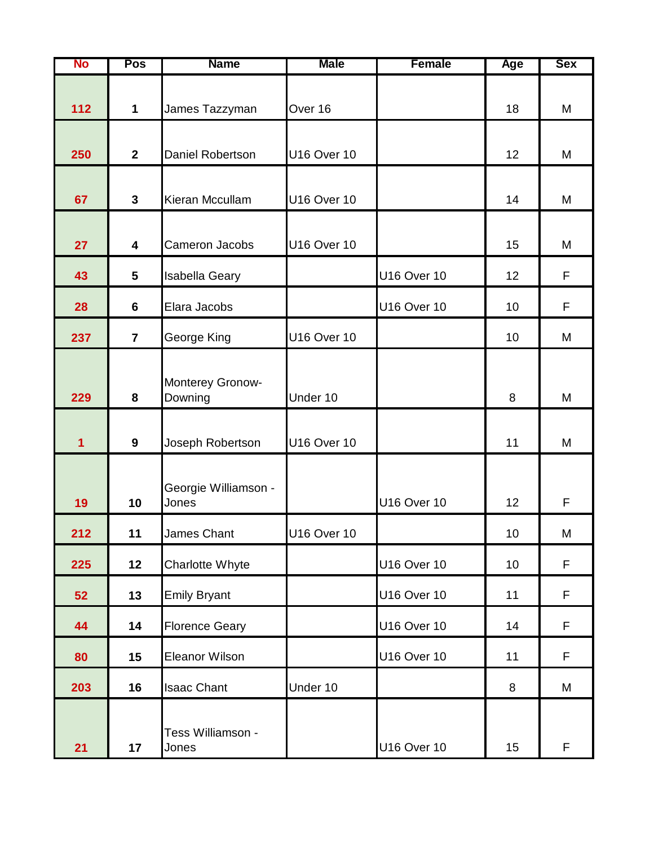| No  | Pos                     | <b>Name</b>                   | <b>Male</b>        | <b>Female</b>      | Age | <b>Sex</b> |
|-----|-------------------------|-------------------------------|--------------------|--------------------|-----|------------|
| 112 | $\mathbf 1$             | James Tazzyman                | Over 16            |                    | 18  | M          |
| 250 | $\overline{2}$          | Daniel Robertson              | <b>U16 Over 10</b> |                    | 12  | M          |
| 67  | $\mathbf{3}$            | Kieran Mccullam               | <b>U16 Over 10</b> |                    | 14  | M          |
| 27  | $\overline{\mathbf{4}}$ | Cameron Jacobs                | <b>U16 Over 10</b> |                    | 15  | M          |
| 43  | $5\phantom{1}$          | Isabella Geary                |                    | <b>U16 Over 10</b> | 12  | F          |
| 28  | 6                       | Elara Jacobs                  |                    | <b>U16 Over 10</b> | 10  | F          |
| 237 | $\overline{7}$          | George King                   | <b>U16 Over 10</b> |                    | 10  | M          |
| 229 | 8                       | Monterey Gronow-<br>Downing   | Under 10           |                    | 8   | M          |
| 1   | $\mathbf{9}$            | Joseph Robertson              | <b>U16 Over 10</b> |                    | 11  | M          |
| 19  | 10                      | Georgie Williamson -<br>Jones |                    | <b>U16 Over 10</b> | 12  | F          |
| 212 | 11                      | James Chant                   | U16 Over 10        |                    | 10  | М          |
| 225 | 12                      | Charlotte Whyte               |                    | <b>U16 Over 10</b> | 10  | F          |
| 52  | 13                      | <b>Emily Bryant</b>           |                    | <b>U16 Over 10</b> | 11  | F          |
| 44  | 14                      | <b>Florence Geary</b>         |                    | <b>U16 Over 10</b> | 14  | F          |
| 80  | 15                      | <b>Eleanor Wilson</b>         |                    | <b>U16 Over 10</b> | 11  | F          |
| 203 | 16                      | <b>Isaac Chant</b>            | Under 10           |                    | 8   | M          |
| 21  | 17                      | Tess Williamson -<br>Jones    |                    | <b>U16 Over 10</b> | 15  | F          |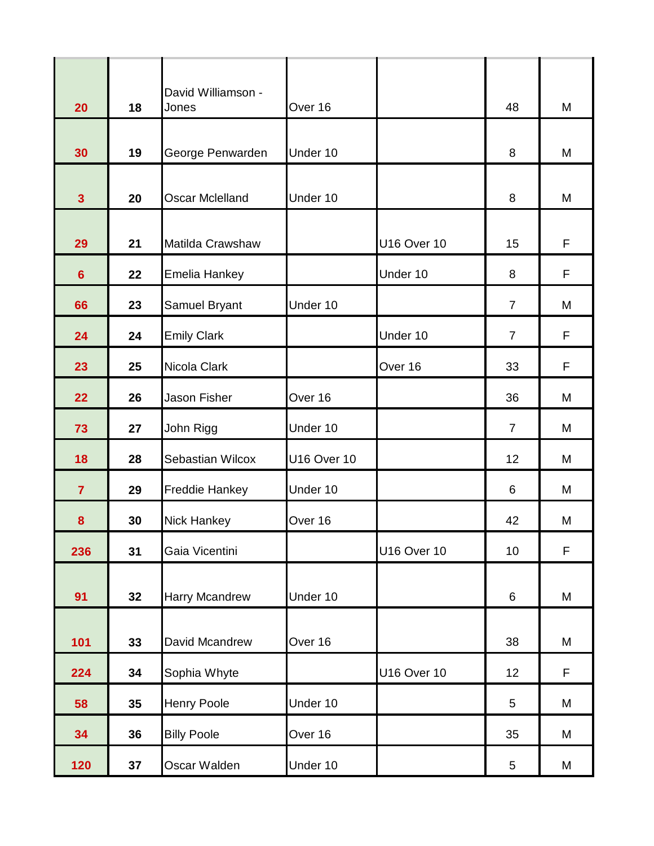| 20                      | 18 | David Williamson -<br>Jones | Over 16            |                    | 48             | M |
|-------------------------|----|-----------------------------|--------------------|--------------------|----------------|---|
| 30                      | 19 | George Penwarden            | Under 10           |                    | 8              | M |
| $\overline{\mathbf{3}}$ | 20 | <b>Oscar Mclelland</b>      | Under 10           |                    | 8              | M |
| 29                      | 21 | Matilda Crawshaw            |                    | <b>U16 Over 10</b> | 15             | F |
| $6\phantom{1}$          | 22 | Emelia Hankey               |                    | Under 10           | 8              | F |
| 66                      | 23 | Samuel Bryant               | Under 10           |                    | $\overline{7}$ | M |
| 24                      | 24 | <b>Emily Clark</b>          |                    | Under 10           | $\overline{7}$ | F |
| 23                      | 25 | Nicola Clark                |                    | Over 16            | 33             | F |
| 22                      | 26 | Jason Fisher                | Over 16            |                    | 36             | M |
| 73                      | 27 | John Rigg                   | Under 10           |                    | $\overline{7}$ | M |
| 18                      | 28 | Sebastian Wilcox            | <b>U16 Over 10</b> |                    | 12             | M |
| $\overline{7}$          | 29 | Freddie Hankey              | Under 10           |                    | 6              | M |
| 8                       | 30 | <b>Nick Hankey</b>          | Over 16            |                    | 42             | M |
| 236                     | 31 | Gaia Vicentini              |                    | <b>U16 Over 10</b> | 10             | F |
| 91                      | 32 | Harry Mcandrew              | Under 10           |                    | $6\phantom{1}$ | M |
| 101                     | 33 | David Mcandrew              | Over 16            |                    | 38             | M |
| 224                     | 34 | Sophia Whyte                |                    | <b>U16 Over 10</b> | 12             | F |
| 58                      | 35 | <b>Henry Poole</b>          | Under 10           |                    | 5              | M |
| 34                      | 36 | <b>Billy Poole</b>          | Over 16            |                    | 35             | M |
| 120                     | 37 | Oscar Walden                | Under 10           |                    | $\sqrt{5}$     | M |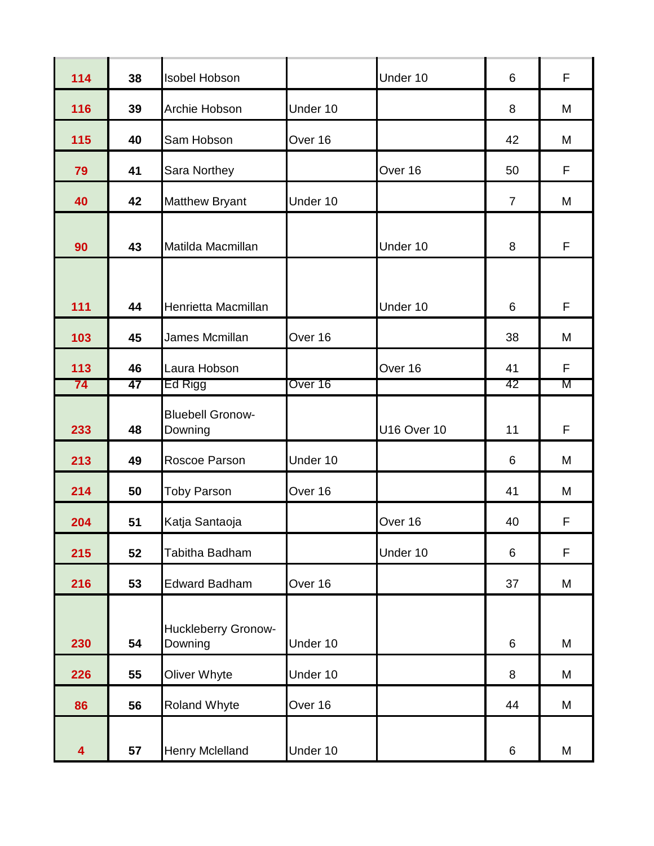| 114 | 38 | <b>Isobel Hobson</b>                  |          | Under 10           | 6              | F |
|-----|----|---------------------------------------|----------|--------------------|----------------|---|
| 116 | 39 | Archie Hobson                         | Under 10 |                    | 8              | M |
| 115 | 40 | Sam Hobson                            | Over 16  |                    | 42             | M |
| 79  | 41 | Sara Northey                          |          | Over 16            | 50             | F |
| 40  | 42 | <b>Matthew Bryant</b>                 | Under 10 |                    | $\overline{7}$ | M |
| 90  | 43 | Matilda Macmillan                     |          | Under 10           | 8              | F |
| 111 | 44 | Henrietta Macmillan                   |          | Under 10           | 6              | F |
| 103 | 45 | James Mcmillan                        | Over 16  |                    | 38             | M |
| 113 | 46 | Laura Hobson                          |          | Over 16            | 41             | F |
| 74  | 47 | Ed Rigg                               | Over 16  |                    | 42             | M |
| 233 | 48 | <b>Bluebell Gronow-</b><br>Downing    |          | <b>U16 Over 10</b> | 11             | F |
| 213 | 49 | Roscoe Parson                         | Under 10 |                    | 6              | M |
| 214 | 50 | <b>Toby Parson</b>                    | Over 16  |                    | 41             | M |
| 204 | 51 | Katja Santaoja                        |          | Over 16            | 40             | F |
| 215 | 52 | Tabitha Badham                        |          | Under 10           | $6\phantom{1}$ | F |
| 216 | 53 | <b>Edward Badham</b>                  | Over 16  |                    | 37             | M |
| 230 | 54 | <b>Huckleberry Gronow-</b><br>Downing | Under 10 |                    | 6              | M |
| 226 | 55 | Oliver Whyte                          | Under 10 |                    | 8              | M |
| 86  | 56 | <b>Roland Whyte</b>                   | Over 16  |                    | 44             | M |
| 4   | 57 | Henry Mclelland                       | Under 10 |                    | $6\phantom{1}$ | M |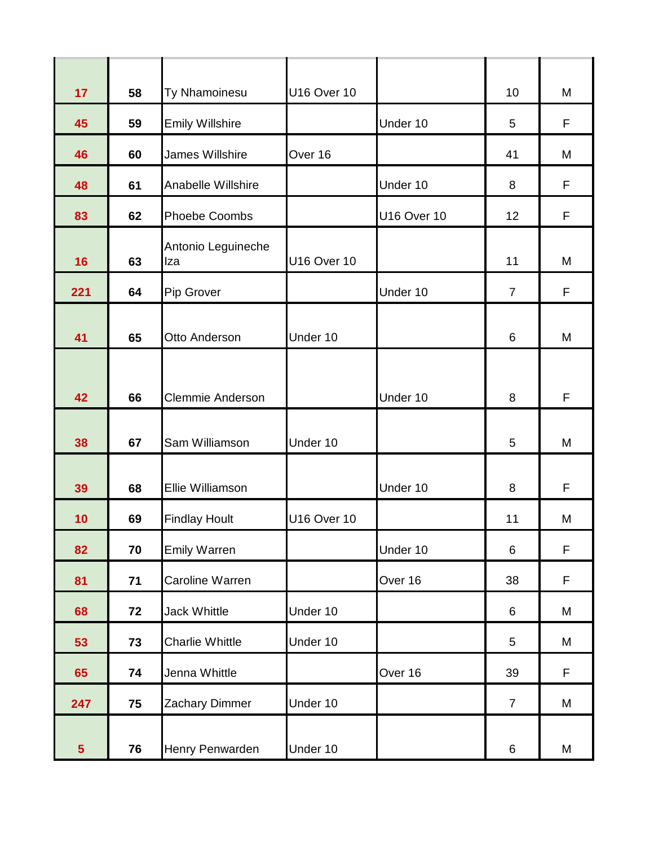| 17              | 58   | Ty Nhamoinesu             | <b>U16 Over 10</b> |                    | 10              | M |
|-----------------|------|---------------------------|--------------------|--------------------|-----------------|---|
| 45              | 59   | <b>Emily Willshire</b>    |                    | Under 10           | 5               | F |
| 46              | 60   | James Willshire           | Over 16            |                    | 41              | M |
| 48              | 61   | <b>Anabelle Willshire</b> |                    | Under 10           | 8               | F |
| 83              | 62   | <b>Phoebe Coombs</b>      |                    | <b>U16 Over 10</b> | 12              | F |
| 16              | 63   | Antonio Leguineche<br>Iza | <b>U16 Over 10</b> |                    | 11              | M |
| 221             | 64   | Pip Grover                |                    | Under 10           | $\overline{7}$  | F |
| 41              | 65   | Otto Anderson             | Under 10           |                    | $6\phantom{1}6$ | M |
| 42              | 66   | Clemmie Anderson          |                    | Under 10           | 8               | F |
| 38              | 67   | Sam Williamson            | Under 10           |                    | 5               | M |
| 39              | 68   | Ellie Williamson          |                    | Under 10           | 8               | F |
| 10              | 69   | <b>Findlay Hoult</b>      | <b>U16 Over 10</b> |                    | 11              | M |
| 82              | 70   | <b>Emily Warren</b>       |                    | Under 10           | $\,6\,$         | F |
| 81              | $71$ | Caroline Warren           |                    | Over 16            | 38              | F |
| 68              | 72   | <b>Jack Whittle</b>       | Under 10           |                    | 6               | M |
| 53              | 73   | <b>Charlie Whittle</b>    | Under 10           |                    | 5               | M |
| 65              | 74   | Jenna Whittle             |                    | Over 16            | 39              | F |
| 247             | 75   | Zachary Dimmer            | Under 10           |                    | $\overline{7}$  | M |
| $5\phantom{.0}$ | 76   | Henry Penwarden           | Under 10           |                    | $\,6\,$         | M |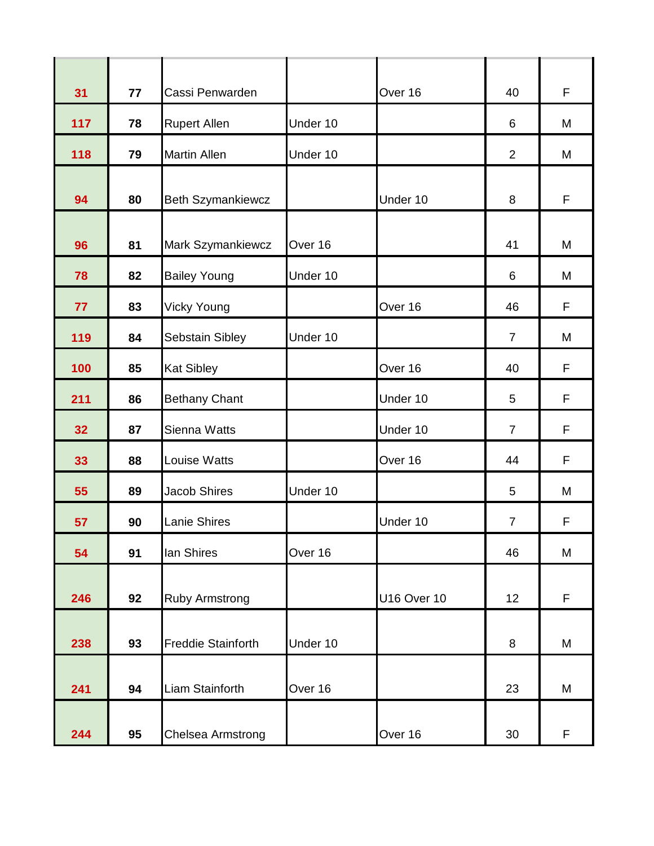| 31  | 77 | Cassi Penwarden           |          | Over 16            | 40             | F |
|-----|----|---------------------------|----------|--------------------|----------------|---|
| 117 | 78 | <b>Rupert Allen</b>       | Under 10 |                    | 6              | M |
| 118 | 79 | <b>Martin Allen</b>       | Under 10 |                    | 2              | M |
| 94  | 80 | <b>Beth Szymankiewcz</b>  |          | Under 10           | 8              | F |
| 96  | 81 | Mark Szymankiewcz         | Over 16  |                    | 41             | M |
| 78  | 82 | <b>Bailey Young</b>       | Under 10 |                    | 6              | M |
| 77  | 83 | <b>Vicky Young</b>        |          | Over 16            | 46             | F |
| 119 | 84 | Sebstain Sibley           | Under 10 |                    | $\overline{7}$ | M |
| 100 | 85 | <b>Kat Sibley</b>         |          | Over 16            | 40             | F |
| 211 | 86 | <b>Bethany Chant</b>      |          | Under 10           | 5              | F |
| 32  | 87 | Sienna Watts              |          | Under 10           | $\overline{7}$ | F |
| 33  | 88 | Louise Watts              |          | Over 16            | 44             | F |
| 55  | 89 | <b>Jacob Shires</b>       | Under 10 |                    | 5              | M |
| 57  | 90 | Lanie Shires              |          | Under 10           | $\overline{7}$ | F |
| 54  | 91 | lan Shires                | Over 16  |                    | 46             | M |
| 246 | 92 | <b>Ruby Armstrong</b>     |          | <b>U16 Over 10</b> | 12             | F |
|     |    |                           |          |                    |                |   |
| 238 | 93 | <b>Freddie Stainforth</b> | Under 10 |                    | 8              | M |
| 241 | 94 | Liam Stainforth           | Over 16  |                    | 23             | M |
| 244 | 95 | Chelsea Armstrong         |          | Over 16            | 30             | F |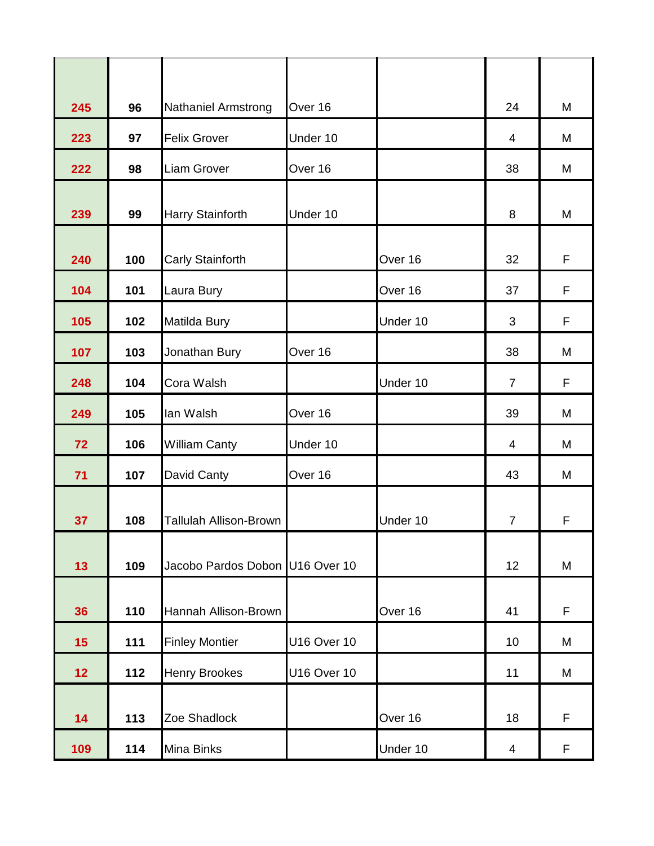| 96  | <b>Nathaniel Armstrong</b>    | Over 16                    |                                 | 24                  | M       |
|-----|-------------------------------|----------------------------|---------------------------------|---------------------|---------|
| 97  | <b>Felix Grover</b>           | Under 10                   |                                 | 4                   | M       |
| 98  | Liam Grover                   | Over 16                    |                                 | 38                  | M       |
| 99  | Harry Stainforth              | Under 10                   |                                 | 8                   | M       |
| 100 | Carly Stainforth              |                            | Over 16                         | 32                  | F       |
| 101 | Laura Bury                    |                            | Over 16                         | 37                  | F       |
| 102 | Matilda Bury                  |                            | Under 10                        | 3                   | F       |
| 103 | Jonathan Bury                 | Over 16                    |                                 | 38                  | M       |
| 104 | Cora Walsh                    |                            | Under 10                        | $\overline{7}$      | F       |
| 105 | lan Walsh                     | Over 16                    |                                 | 39                  | M       |
| 106 | <b>William Canty</b>          | Under 10                   |                                 | $\overline{4}$      | M       |
| 107 | David Canty                   | Over 16                    |                                 | 43                  | M       |
| 108 | <b>Tallulah Allison-Brown</b> |                            | Under 10                        | $\overline{7}$      | F       |
| 109 |                               |                            |                                 | 12                  | M       |
| 110 | Hannah Allison-Brown          |                            | Over 16                         | 41                  | F       |
| 111 | <b>Finley Montier</b>         | <b>U16 Over 10</b>         |                                 | 10                  | M       |
| 112 | <b>Henry Brookes</b>          | <b>U16 Over 10</b>         |                                 | 11                  | M       |
|     |                               |                            |                                 |                     | F       |
|     |                               |                            |                                 |                     | F       |
|     | 113<br>114                    | Zoe Shadlock<br>Mina Binks | Jacobo Pardos Dobon U16 Over 10 | Over 16<br>Under 10 | 18<br>4 |